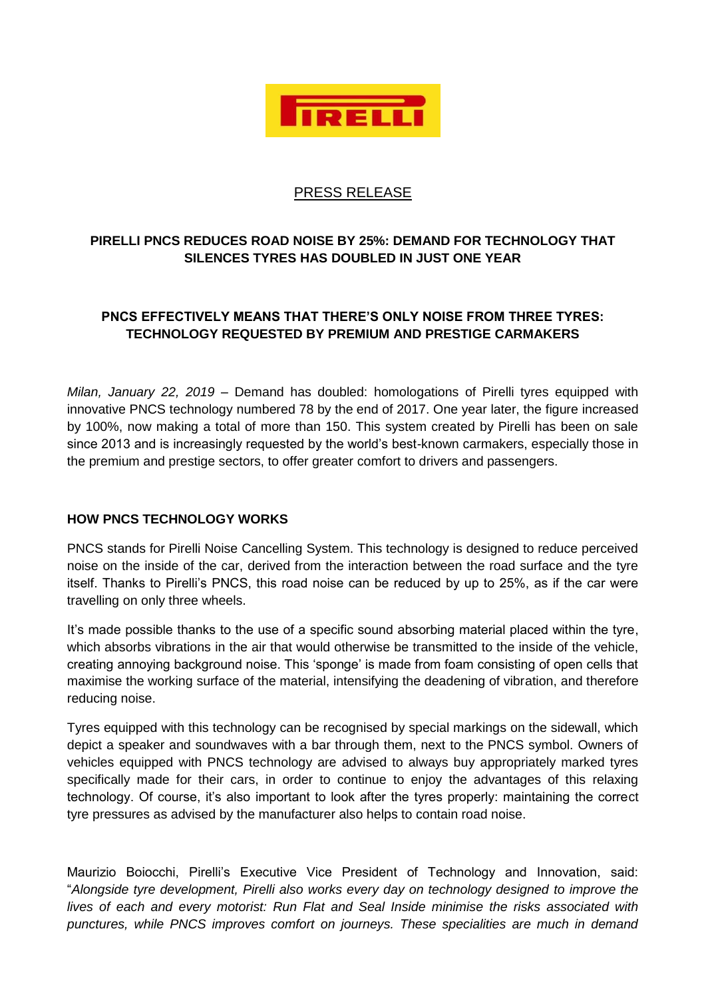

## PRESS RELEASE

## **PIRELLI PNCS REDUCES ROAD NOISE BY 25%: DEMAND FOR TECHNOLOGY THAT SILENCES TYRES HAS DOUBLED IN JUST ONE YEAR**

## **PNCS EFFECTIVELY MEANS THAT THERE'S ONLY NOISE FROM THREE TYRES: TECHNOLOGY REQUESTED BY PREMIUM AND PRESTIGE CARMAKERS**

*Milan, January 22, 2019* – Demand has doubled: homologations of Pirelli tyres equipped with innovative PNCS technology numbered 78 by the end of 2017. One year later, the figure increased by 100%, now making a total of more than 150. This system created by Pirelli has been on sale since 2013 and is increasingly requested by the world's best-known carmakers, especially those in the premium and prestige sectors, to offer greater comfort to drivers and passengers.

## **HOW PNCS TECHNOLOGY WORKS**

PNCS stands for Pirelli Noise Cancelling System. This technology is designed to reduce perceived noise on the inside of the car, derived from the interaction between the road surface and the tyre itself. Thanks to Pirelli's PNCS, this road noise can be reduced by up to 25%, as if the car were travelling on only three wheels.

It's made possible thanks to the use of a specific sound absorbing material placed within the tyre, which absorbs vibrations in the air that would otherwise be transmitted to the inside of the vehicle, creating annoying background noise. This 'sponge' is made from foam consisting of open cells that maximise the working surface of the material, intensifying the deadening of vibration, and therefore reducing noise.

Tyres equipped with this technology can be recognised by special markings on the sidewall, which depict a speaker and soundwaves with a bar through them, next to the PNCS symbol. Owners of vehicles equipped with PNCS technology are advised to always buy appropriately marked tyres specifically made for their cars, in order to continue to enjoy the advantages of this relaxing technology. Of course, it's also important to look after the tyres properly: maintaining the correct tyre pressures as advised by the manufacturer also helps to contain road noise.

Maurizio Boiocchi, Pirelli's Executive Vice President of Technology and Innovation, said: "*Alongside tyre development, Pirelli also works every day on technology designed to improve the lives of each and every motorist: Run Flat and Seal Inside minimise the risks associated with punctures, while PNCS improves comfort on journeys. These specialities are much in demand*